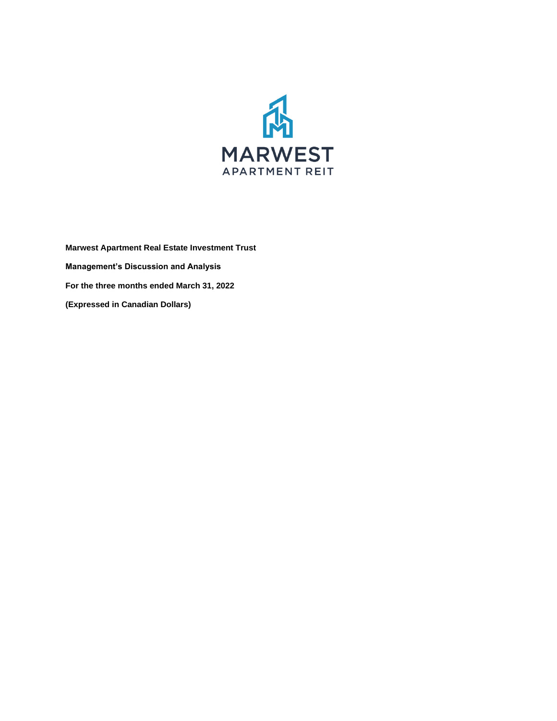

**Marwest Apartment Real Estate Investment Trust Management's Discussion and Analysis For the three months ended March 31, 2022 (Expressed in Canadian Dollars)**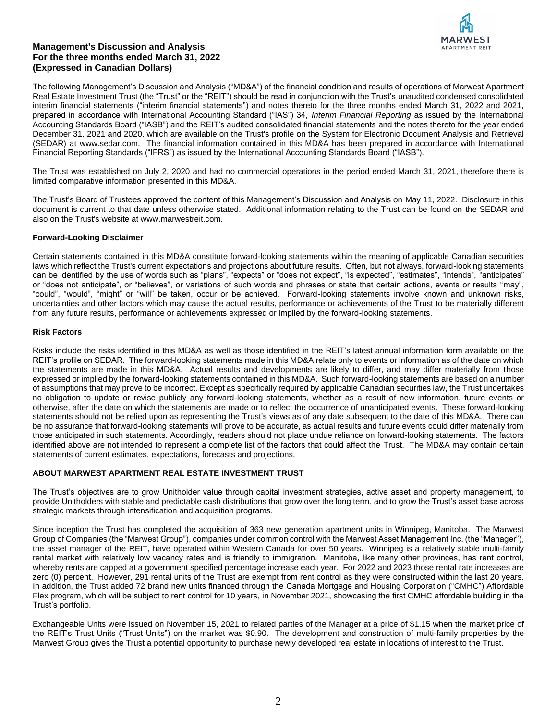

The following Management's Discussion and Analysis ("MD&A") of the financial condition and results of operations of Marwest Apartment Real Estate Investment Trust (the "Trust" or the "REIT") should be read in conjunction with the Trust's unaudited condensed consolidated interim financial statements ("interim financial statements") and notes thereto for the three months ended March 31, 2022 and 2021, prepared in accordance with International Accounting Standard ("IAS") 34, *Interim Financial Reporting* as issued by the International Accounting Standards Board ("IASB") and the REIT's audited consolidated financial statements and the notes thereto for the year ended December 31, 2021 and 2020, which are available on the Trust's profile on the System for Electronic Document Analysis and Retrieval (SEDAR) at www.sedar.com. The financial information contained in this MD&A has been prepared in accordance with International Financial Reporting Standards ("IFRS") as issued by the International Accounting Standards Board ("IASB").

The Trust was established on July 2, 2020 and had no commercial operations in the period ended March 31, 2021, therefore there is limited comparative information presented in this MD&A.

The Trust's Board of Trustees approved the content of this Management's Discussion and Analysis on May 11, 2022. Disclosure in this document is current to that date unless otherwise stated. Additional information relating to the Trust can be found on the SEDAR and also on the Trust's website at www.marwestreit.com.

## **Forward-Looking Disclaimer**

Certain statements contained in this MD&A constitute forward-looking statements within the meaning of applicable Canadian securities laws which reflect the Trust's current expectations and projections about future results. Often, but not always, forward-looking statements can be identified by the use of words such as "plans", "expects" or "does not expect", "is expected", "estimates", "intends", "anticipates" or "does not anticipate", or "believes", or variations of such words and phrases or state that certain actions, events or results "may", "could", "would", "might" or "will" be taken, occur or be achieved. Forward-looking statements involve known and unknown risks, uncertainties and other factors which may cause the actual results, performance or achievements of the Trust to be materially different from any future results, performance or achievements expressed or implied by the forward-looking statements.

#### **Risk Factors**

Risks include the risks identified in this MD&A as well as those identified in the REIT's latest annual information form available on the REIT's profile on SEDAR. The forward-looking statements made in this MD&A relate only to events or information as of the date on which the statements are made in this MD&A. Actual results and developments are likely to differ, and may differ materially from those expressed or implied by the forward-looking statements contained in this MD&A. Such forward-looking statements are based on a number of assumptions that may prove to be incorrect. Except as specifically required by applicable Canadian securities law, the Trust undertakes no obligation to update or revise publicly any forward-looking statements, whether as a result of new information, future events or otherwise, after the date on which the statements are made or to reflect the occurrence of unanticipated events. These forward-looking statements should not be relied upon as representing the Trust's views as of any date subsequent to the date of this MD&A. There can be no assurance that forward-looking statements will prove to be accurate, as actual results and future events could differ materially from those anticipated in such statements. Accordingly, readers should not place undue reliance on forward-looking statements. The factors identified above are not intended to represent a complete list of the factors that could affect the Trust. The MD&A may contain certain statements of current estimates, expectations, forecasts and projections.

## **ABOUT MARWEST APARTMENT REAL ESTATE INVESTMENT TRUST**

The Trust's objectives are to grow Unitholder value through capital investment strategies, active asset and property management, to provide Unitholders with stable and predictable cash distributions that grow over the long term, and to grow the Trust's asset base across strategic markets through intensification and acquisition programs.

Since inception the Trust has completed the acquisition of 363 new generation apartment units in Winnipeg, Manitoba. The Marwest Group of Companies (the "Marwest Group"), companies under common control with the Marwest Asset Management Inc. (the "Manager"), the asset manager of the REIT, have operated within Western Canada for over 50 years. Winnipeg is a relatively stable multi-family rental market with relatively low vacancy rates and is friendly to immigration. Manitoba, like many other provinces, has rent control, whereby rents are capped at a government specified percentage increase each year. For 2022 and 2023 those rental rate increases are zero (0) percent. However, 291 rental units of the Trust are exempt from rent control as they were constructed within the last 20 years. In addition, the Trust added 72 brand new units financed through the Canada Mortgage and Housing Corporation ("CMHC") Affordable Flex program, which will be subject to rent control for 10 years, in November 2021, showcasing the first CMHC affordable building in the Trust's portfolio.

Exchangeable Units were issued on November 15, 2021 to related parties of the Manager at a price of \$1.15 when the market price of the REIT's Trust Units ("Trust Units") on the market was \$0.90. The development and construction of multi-family properties by the Marwest Group gives the Trust a potential opportunity to purchase newly developed real estate in locations of interest to the Trust.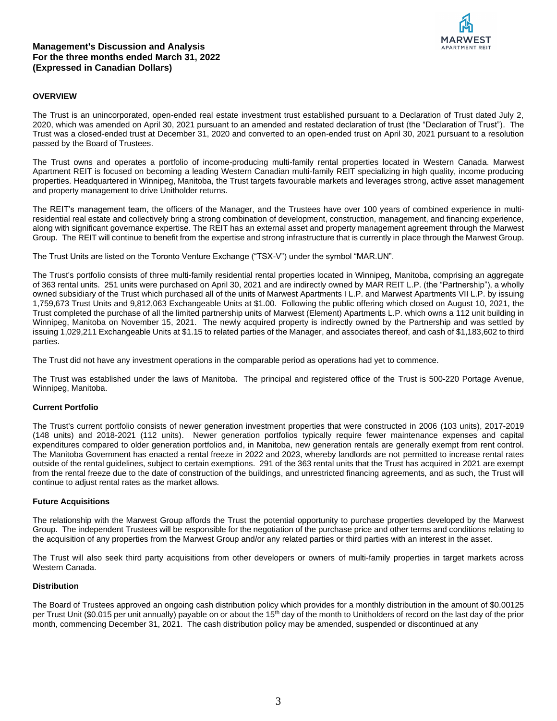## **OVERVIEW**

The Trust is an unincorporated, open-ended real estate investment trust established pursuant to a Declaration of Trust dated July 2, 2020, which was amended on April 30, 2021 pursuant to an amended and restated declaration of trust (the "Declaration of Trust"). The Trust was a closed-ended trust at December 31, 2020 and converted to an open-ended trust on April 30, 2021 pursuant to a resolution passed by the Board of Trustees.

The Trust owns and operates a portfolio of income-producing multi-family rental properties located in Western Canada. Marwest Apartment REIT is focused on becoming a leading Western Canadian multi-family REIT specializing in high quality, income producing properties. Headquartered in Winnipeg, Manitoba, the Trust targets favourable markets and leverages strong, active asset management and property management to drive Unitholder returns.

The REIT's management team, the officers of the Manager, and the Trustees have over 100 years of combined experience in multiresidential real estate and collectively bring a strong combination of development, construction, management, and financing experience, along with significant governance expertise. The REIT has an external asset and property management agreement through the Marwest Group. The REIT will continue to benefit from the expertise and strong infrastructure that is currently in place through the Marwest Group.

The Trust Units are listed on the Toronto Venture Exchange ("TSX-V") under the symbol "MAR.UN".

The Trust's portfolio consists of three multi-family residential rental properties located in Winnipeg, Manitoba, comprising an aggregate of 363 rental units. 251 units were purchased on April 30, 2021 and are indirectly owned by MAR REIT L.P. (the "Partnership"), a wholly owned subsidiary of the Trust which purchased all of the units of Marwest Apartments I L.P. and Marwest Apartments VII L.P. by issuing 1,759,673 Trust Units and 9,812,063 Exchangeable Units at \$1.00. Following the public offering which closed on August 10, 2021, the Trust completed the purchase of all the limited partnership units of Marwest (Element) Apartments L.P. which owns a 112 unit building in Winnipeg, Manitoba on November 15, 2021. The newly acquired property is indirectly owned by the Partnership and was settled by issuing 1,029,211 Exchangeable Units at \$1.15 to related parties of the Manager, and associates thereof, and cash of \$1,183,602 to third parties.

The Trust did not have any investment operations in the comparable period as operations had yet to commence.

The Trust was established under the laws of Manitoba. The principal and registered office of the Trust is 500-220 Portage Avenue, Winnipeg, Manitoba.

## **Current Portfolio**

The Trust's current portfolio consists of newer generation investment properties that were constructed in 2006 (103 units), 2017-2019 (148 units) and 2018-2021 (112 units). Newer generation portfolios typically require fewer maintenance expenses and capital expenditures compared to older generation portfolios and, in Manitoba, new generation rentals are generally exempt from rent control. The Manitoba Government has enacted a rental freeze in 2022 and 2023, whereby landlords are not permitted to increase rental rates outside of the rental guidelines, subject to certain exemptions. 291 of the 363 rental units that the Trust has acquired in 2021 are exempt from the rental freeze due to the date of construction of the buildings, and unrestricted financing agreements, and as such, the Trust will continue to adjust rental rates as the market allows.

## **Future Acquisitions**

The relationship with the Marwest Group affords the Trust the potential opportunity to purchase properties developed by the Marwest Group. The independent Trustees will be responsible for the negotiation of the purchase price and other terms and conditions relating to the acquisition of any properties from the Marwest Group and/or any related parties or third parties with an interest in the asset.

The Trust will also seek third party acquisitions from other developers or owners of multi-family properties in target markets across Western Canada.

## **Distribution**

The Board of Trustees approved an ongoing cash distribution policy which provides for a monthly distribution in the amount of \$0.00125 per Trust Unit (\$0.015 per unit annually) payable on or about the 15<sup>th</sup> day of the month to Unitholders of record on the last day of the prior month, commencing December 31, 2021. The cash distribution policy may be amended, suspended or discontinued at any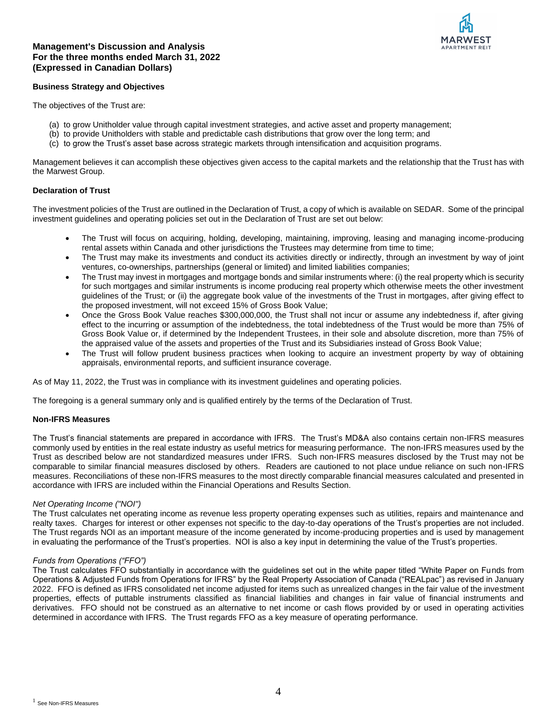

#### **Business Strategy and Objectives**

The objectives of the Trust are:

- (a) to grow Unitholder value through capital investment strategies, and active asset and property management;
- (b) to provide Unitholders with stable and predictable cash distributions that grow over the long term; and
- (c) to grow the Trust's asset base across strategic markets through intensification and acquisition programs.

Management believes it can accomplish these objectives given access to the capital markets and the relationship that the Trust has with the Marwest Group.

# **Declaration of Trust**

The investment policies of the Trust are outlined in the Declaration of Trust, a copy of which is available on SEDAR. Some of the principal investment guidelines and operating policies set out in the Declaration of Trust are set out below:

- The Trust will focus on acquiring, holding, developing, maintaining, improving, leasing and managing income-producing rental assets within Canada and other jurisdictions the Trustees may determine from time to time:
- The Trust may make its investments and conduct its activities directly or indirectly, through an investment by way of joint ventures, co-ownerships, partnerships (general or limited) and limited liabilities companies;
- The Trust may invest in mortgages and mortgage bonds and similar instruments where: (i) the real property which is security for such mortgages and similar instruments is income producing real property which otherwise meets the other investment guidelines of the Trust; or (ii) the aggregate book value of the investments of the Trust in mortgages, after giving effect to the proposed investment, will not exceed 15% of Gross Book Value;
- Once the Gross Book Value reaches \$300,000,000, the Trust shall not incur or assume any indebtedness if, after giving effect to the incurring or assumption of the indebtedness, the total indebtedness of the Trust would be more than 75% of Gross Book Value or, if determined by the Independent Trustees, in their sole and absolute discretion, more than 75% of the appraised value of the assets and properties of the Trust and its Subsidiaries instead of Gross Book Value;
- The Trust will follow prudent business practices when looking to acquire an investment property by way of obtaining appraisals, environmental reports, and sufficient insurance coverage.

As of May 11, 2022, the Trust was in compliance with its investment guidelines and operating policies.

The foregoing is a general summary only and is qualified entirely by the terms of the Declaration of Trust.

#### **Non-IFRS Measures**

The Trust's financial statements are prepared in accordance with IFRS. The Trust's MD&A also contains certain non-IFRS measures commonly used by entities in the real estate industry as useful metrics for measuring performance. The non-IFRS measures used by the Trust as described below are not standardized measures under IFRS. Such non-IFRS measures disclosed by the Trust may not be comparable to similar financial measures disclosed by others. Readers are cautioned to not place undue reliance on such non-IFRS measures. Reconciliations of these non-IFRS measures to the most directly comparable financial measures calculated and presented in accordance with IFRS are included within the Financial Operations and Results Section.

#### *Net Operating Income ("NOI")*

The Trust calculates net operating income as revenue less property operating expenses such as utilities, repairs and maintenance and realty taxes. Charges for interest or other expenses not specific to the day-to-day operations of the Trust's properties are not included. The Trust regards NOI as an important measure of the income generated by income-producing properties and is used by management in evaluating the performance of the Trust's properties. NOI is also a key input in determining the value of the Trust's properties.

#### *Funds from Operations ("FFO")*

The Trust calculates FFO substantially in accordance with the guidelines set out in the white paper titled "White Paper on Funds from Operations & Adjusted Funds from Operations for IFRS" by the Real Property Association of Canada ("REALpac") as revised in January 2022. FFO is defined as IFRS consolidated net income adjusted for items such as unrealized changes in the fair value of the investment properties, effects of puttable instruments classified as financial liabilities and changes in fair value of financial instruments and derivatives. FFO should not be construed as an alternative to net income or cash flows provided by or used in operating activities determined in accordance with IFRS. The Trust regards FFO as a key measure of operating performance.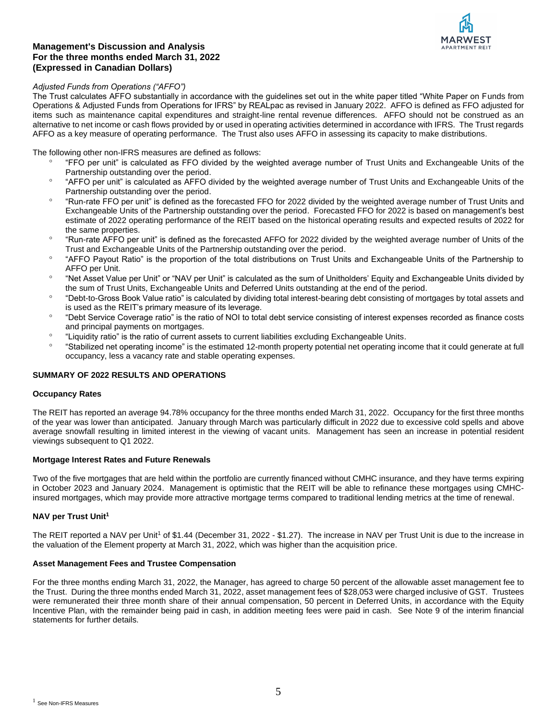

# *Adjusted Funds from Operations ("AFFO")*

The Trust calculates AFFO substantially in accordance with the guidelines set out in the white paper titled "White Paper on Funds from Operations & Adjusted Funds from Operations for IFRS" by REALpac as revised in January 2022. AFFO is defined as FFO adjusted for items such as maintenance capital expenditures and straight-line rental revenue differences. AFFO should not be construed as an alternative to net income or cash flows provided by or used in operating activities determined in accordance with IFRS. The Trust regards AFFO as a key measure of operating performance. The Trust also uses AFFO in assessing its capacity to make distributions.

The following other non-IFRS measures are defined as follows:

- "FFO per unit" is calculated as FFO divided by the weighted average number of Trust Units and Exchangeable Units of the Partnership outstanding over the period.
- <sup>o</sup> "AFFO per unit" is calculated as AFFO divided by the weighted average number of Trust Units and Exchangeable Units of the Partnership outstanding over the period.
- "Run-rate FFO per unit" is defined as the forecasted FFO for 2022 divided by the weighted average number of Trust Units and Exchangeable Units of the Partnership outstanding over the period. Forecasted FFO for 2022 is based on management's best estimate of 2022 operating performance of the REIT based on the historical operating results and expected results of 2022 for the same properties.
- "Run-rate AFFO per unit" is defined as the forecasted AFFO for 2022 divided by the weighted average number of Units of the Trust and Exchangeable Units of the Partnership outstanding over the period.
- <sup>o</sup> "AFFO Payout Ratio" is the proportion of the total distributions on Trust Units and Exchangeable Units of the Partnership to AFFO per Unit.
- "Net Asset Value per Unit" or "NAV per Unit" is calculated as the sum of Unitholders' Equity and Exchangeable Units divided by the sum of Trust Units, Exchangeable Units and Deferred Units outstanding at the end of the period.
- <sup>o</sup> "Debt-to-Gross Book Value ratio" is calculated by dividing total interest-bearing debt consisting of mortgages by total assets and is used as the REIT's primary measure of its leverage.
- <sup>o</sup> "Debt Service Coverage ratio" is the ratio of NOI to total debt service consisting of interest expenses recorded as finance costs and principal payments on mortgages.
- <sup>o</sup> "Liquidity ratio" is the ratio of current assets to current liabilities excluding Exchangeable Units.
- <sup>o</sup> "Stabilized net operating income" is the estimated 12-month property potential net operating income that it could generate at full occupancy, less a vacancy rate and stable operating expenses.

# **SUMMARY OF 2022 RESULTS AND OPERATIONS**

## **Occupancy Rates**

The REIT has reported an average 94.78% occupancy for the three months ended March 31, 2022. Occupancy for the first three months of the year was lower than anticipated. January through March was particularly difficult in 2022 due to excessive cold spells and above average snowfall resulting in limited interest in the viewing of vacant units. Management has seen an increase in potential resident viewings subsequent to Q1 2022.

## **Mortgage Interest Rates and Future Renewals**

Two of the five mortgages that are held within the portfolio are currently financed without CMHC insurance, and they have terms expiring in October 2023 and January 2024. Management is optimistic that the REIT will be able to refinance these mortgages using CMHCinsured mortgages, which may provide more attractive mortgage terms compared to traditional lending metrics at the time of renewal.

## **NAV per Trust Unit<sup>1</sup>**

The REIT reported a NAV per Unit<sup>1</sup> of \$1.44 (December 31, 2022 - \$1.27). The increase in NAV per Trust Unit is due to the increase in the valuation of the Element property at March 31, 2022, which was higher than the acquisition price.

## **Asset Management Fees and Trustee Compensation**

For the three months ending March 31, 2022, the Manager, has agreed to charge 50 percent of the allowable asset management fee to the Trust. During the three months ended March 31, 2022, asset management fees of \$28,053 were charged inclusive of GST. Trustees were remunerated their three month share of their annual compensation, 50 percent in Deferred Units, in accordance with the Equity Incentive Plan, with the remainder being paid in cash, in addition meeting fees were paid in cash. See Note 9 of the interim financial statements for further details.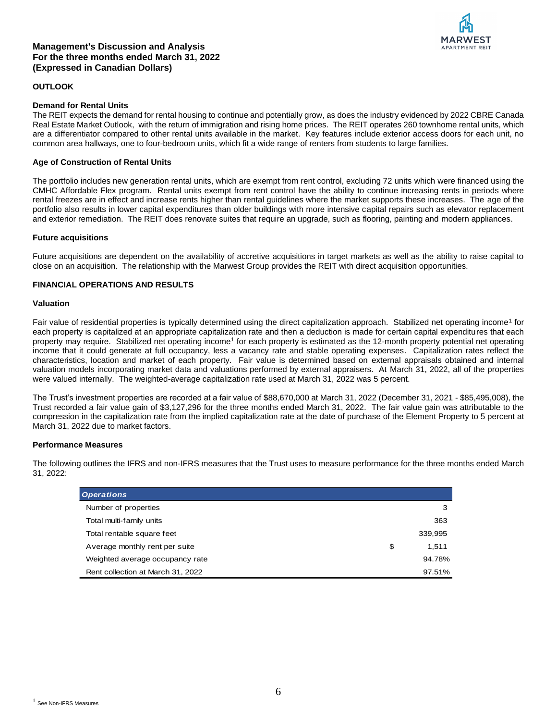

#### **OUTLOOK**

#### **Demand for Rental Units**

The REIT expects the demand for rental housing to continue and potentially grow, as does the industry evidenced by 2022 CBRE Canada Real Estate Market Outlook, with the return of immigration and rising home prices. The REIT operates 260 townhome rental units, which are a differentiator compared to other rental units available in the market. Key features include exterior access doors for each unit, no common area hallways, one to four-bedroom units, which fit a wide range of renters from students to large families.

#### **Age of Construction of Rental Units**

The portfolio includes new generation rental units, which are exempt from rent control, excluding 72 units which were financed using the CMHC Affordable Flex program. Rental units exempt from rent control have the ability to continue increasing rents in periods where rental freezes are in effect and increase rents higher than rental guidelines where the market supports these increases. The age of the portfolio also results in lower capital expenditures than older buildings with more intensive capital repairs such as elevator replacement and exterior remediation. The REIT does renovate suites that require an upgrade, such as flooring, painting and modern appliances.

#### **Future acquisitions**

Future acquisitions are dependent on the availability of accretive acquisitions in target markets as well as the ability to raise capital to close on an acquisition. The relationship with the Marwest Group provides the REIT with direct acquisition opportunities.

# **FINANCIAL OPERATIONS AND RESULTS**

#### **Valuation**

Fair value of residential properties is typically determined using the direct capitalization approach. Stabilized net operating income<sup>1</sup> for each property is capitalized at an appropriate capitalization rate and then a deduction is made for certain capital expenditures that each property may require. Stabilized net operating income<sup>1</sup> for each property is estimated as the 12-month property potential net operating income that it could generate at full occupancy, less a vacancy rate and stable operating expenses. Capitalization rates reflect the characteristics, location and market of each property. Fair value is determined based on external appraisals obtained and internal valuation models incorporating market data and valuations performed by external appraisers. At March 31, 2022, all of the properties were valued internally. The weighted-average capitalization rate used at March 31, 2022 was 5 percent.

The Trust's investment properties are recorded at a fair value of \$88,670,000 at March 31, 2022 (December 31, 2021 - \$85,495,008), the Trust recorded a fair value gain of \$3,127,296 for the three months ended March 31, 2022. The fair value gain was attributable to the compression in the capitalization rate from the implied capitalization rate at the date of purchase of the Element Property to 5 percent at March 31, 2022 due to market factors.

#### **Performance Measures**

| <b>Operations</b>                 |             |
|-----------------------------------|-------------|
| Number of properties              | 3           |
| Total multi-family units          | 363         |
| Total rentable square feet        | 339,995     |
| Average monthly rent per suite    | \$<br>1.511 |
| Weighted average occupancy rate   | 94.78%      |
| Rent collection at March 31, 2022 | 97.51%      |

The following outlines the IFRS and non-IFRS measures that the Trust uses to measure performance for the three months ended March 31, 2022: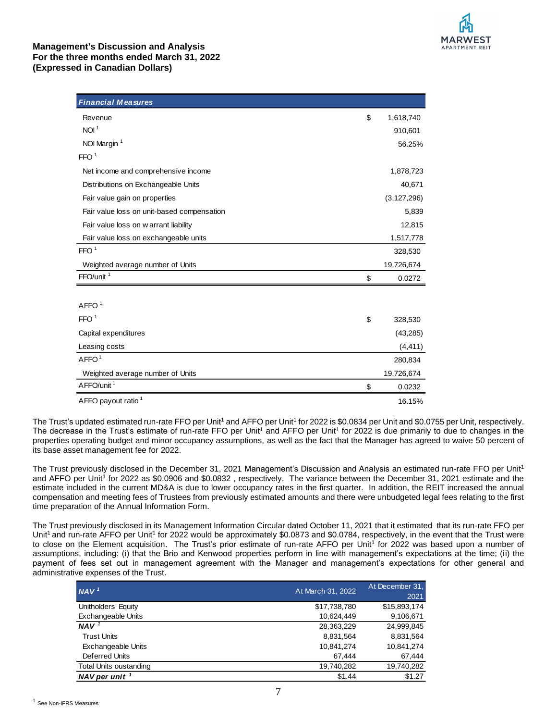

| <b>Financial Measures</b>                  |                 |
|--------------------------------------------|-----------------|
| Revenue                                    | \$<br>1,618,740 |
| NOI <sup>1</sup>                           | 910,601         |
| NOI Margin <sup>1</sup>                    | 56.25%          |
| FFO <sup>1</sup>                           |                 |
| Net income and comprehensive income        | 1,878,723       |
| Distributions on Exchangeable Units        | 40,671          |
| Fair value gain on properties              | (3, 127, 296)   |
| Fair value loss on unit-based compensation | 5,839           |
| Fair value loss on w arrant liability      | 12,815          |
| Fair value loss on exchangeable units      | 1,517,778       |
| FFO <sup>1</sup>                           | 328,530         |
| Weighted average number of Units           | 19,726,674      |
| FFO/unit <sup>1</sup>                      | \$<br>0.0272    |
|                                            |                 |
| AFFO <sup>1</sup>                          |                 |
| FFO <sup>1</sup>                           | \$<br>328,530   |
| Capital expenditures                       | (43, 285)       |
| Leasing costs                              | (4, 411)        |
| AFFO <sup>1</sup>                          | 280,834         |
| Weighted average number of Units           | 19,726,674      |
| AFFO/unit <sup>1</sup>                     | \$<br>0.0232    |
| AFFO payout ratio <sup>1</sup>             | 16.15%          |

The Trust's updated estimated run-rate FFO per Unit<sup>1</sup> and AFFO per Unit<sup>1</sup> for 2022 is \$0.0834 per Unit and \$0.0755 per Unit, respectively. The decrease in the Trust's estimate of run-rate FFO per Unit<sup>1</sup> and AFFO per Unit<sup>1</sup> for 2022 is due primarily to due to changes in the properties operating budget and minor occupancy assumptions, as well as the fact that the Manager has agreed to waive 50 percent of its base asset management fee for 2022.

The Trust previously disclosed in the December 31, 2021 Management's Discussion and Analysis an estimated run-rate FFO per Unit<sup>1</sup> and AFFO per Unit<sup>1</sup> for 2022 as \$0.0906 and \$0.0832, respectively. The variance between the December 31, 2021 estimate and the estimate included in the current MD&A is due to lower occupancy rates in the first quarter. In addition, the REIT increased the annual compensation and meeting fees of Trustees from previously estimated amounts and there were unbudgeted legal fees relating to the first time preparation of the Annual Information Form.

The Trust previously disclosed in its Management Information Circular dated October 11, 2021 that it estimated that its run-rate FFO per Unit<sup>1</sup> and run-rate AFFO per Unit<sup>1</sup> for 2022 would be approximately \$0.0873 and \$0.0784, respectively, in the event that the Trust were to close on the Element acquisition. The Trust's prior estimate of run-rate AFFO per Unit<sup>1</sup> for 2022 was based upon a number of assumptions, including: (i) that the Brio and Kenwood properties perform in line with management's expectations at the time; (ii) the payment of fees set out in management agreement with the Manager and management's expectations for other general and administrative expenses of the Trust.

| At March 31, 2022 | At December 31,<br>2021 |
|-------------------|-------------------------|
| \$17,738,780      | \$15,893,174            |
| 10,624,449        | 9,106,671               |
| 28,363,229        | 24,999,845              |
| 8,831,564         | 8,831,564               |
| 10,841,274        | 10,841,274              |
| 67.444            | 67,444                  |
| 19,740,282        | 19,740,282              |
| \$1.44            | \$1.27                  |
|                   |                         |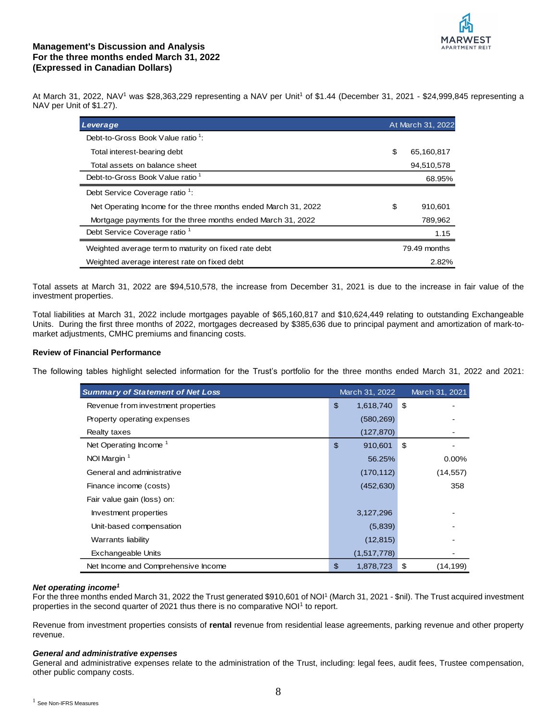

At March 31, 2022, NAV<sup>1</sup> was \$28,363,229 representing a NAV per Unit<sup>1</sup> of \$1.44 (December 31, 2021 - \$24,999,845 representing a NAV per Unit of \$1.27).

| Leverage                                                       | At March 31, 2022 |
|----------------------------------------------------------------|-------------------|
| Debt-to-Gross Book Value ratio <sup>1</sup> :                  |                   |
| Total interest-bearing debt                                    | \$<br>65,160,817  |
| Total assets on balance sheet                                  | 94,510,578        |
| Debt-to-Gross Book Value ratio <sup>1</sup>                    | 68.95%            |
| Debt Service Coverage ratio <sup>1</sup> :                     |                   |
| Net Operating Income for the three months ended March 31, 2022 | \$<br>910,601     |
| Mortgage payments for the three months ended March 31, 2022    | 789,962           |
| Debt Service Coverage ratio <sup>1</sup>                       | 1.15              |
| Weighted average term to maturity on fixed rate debt           | 79.49 months      |
| Weighted average interest rate on fixed debt                   | 2.82%             |

Total assets at March 31, 2022 are \$94,510,578, the increase from December 31, 2021 is due to the increase in fair value of the investment properties.

Total liabilities at March 31, 2022 include mortgages payable of \$65,160,817 and \$10,624,449 relating to outstanding Exchangeable Units. During the first three months of 2022, mortgages decreased by \$385,636 due to principal payment and amortization of mark-tomarket adjustments, CMHC premiums and financing costs.

## **Review of Financial Performance**

The following tables highlight selected information for the Trust's portfolio for the three months ended March 31, 2022 and 2021:

| <b>Summary of Statement of Net Loss</b> | March 31, 2022  | March 31, 2021 |
|-----------------------------------------|-----------------|----------------|
| Revenue from investment properties      | \$<br>1,618,740 | \$             |
| Property operating expenses             | (580, 269)      |                |
| Realty taxes                            | (127, 870)      |                |
| Net Operating Income <sup>1</sup>       | \$<br>910,601   | \$             |
| NOI Margin <sup>1</sup>                 | 56.25%          | $0.00\%$       |
| General and administrative              | (170, 112)      | (14, 557)      |
| Finance income (costs)                  | (452, 630)      | 358            |
| Fair value gain (loss) on:              |                 |                |
| Investment properties                   | 3,127,296       |                |
| Unit-based compensation                 | (5,839)         |                |
| Warrants liability                      | (12, 815)       |                |
| <b>Exchangeable Units</b>               | (1,517,778)     |                |
| Net Income and Comprehensive Income     | \$<br>1,878,723 | \$<br>(14,199) |

## *Net operating income<sup>1</sup>*

For the three months ended March 31, 2022 the Trust generated \$910,601 of NOI<sup>1</sup> (March 31, 2021 - \$nil). The Trust acquired investment properties in the second quarter of 2021 thus there is no comparative NOI<sup>1</sup> to report.

Revenue from investment properties consists of **rental** revenue from residential lease agreements, parking revenue and other property revenue.

#### *General and administrative expenses*

General and administrative expenses relate to the administration of the Trust, including: legal fees, audit fees, Trustee compensation, other public company costs.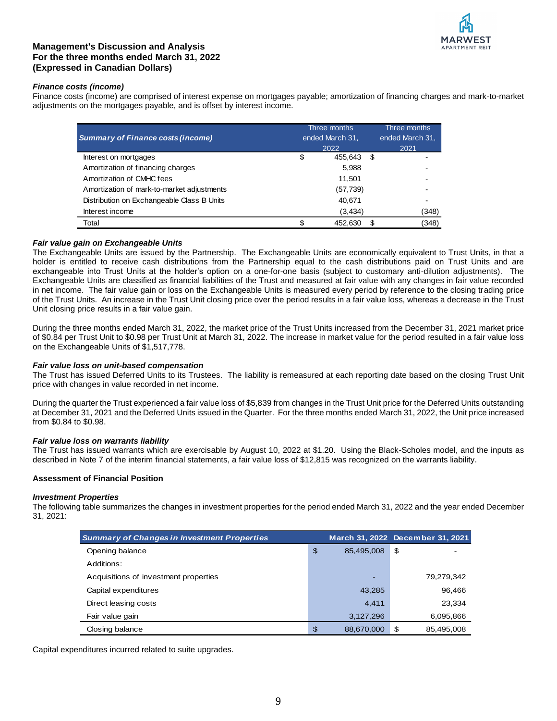

## *Finance costs (income)*

Finance costs (income) are comprised of interest expense on mortgages payable; amortization of financing charges and mark-to-market adjustments on the mortgages payable, and is offset by interest income.

|                                            |    | Three months    |   | Three months    |
|--------------------------------------------|----|-----------------|---|-----------------|
| <b>Summary of Finance costs (income)</b>   |    | ended March 31, |   | ended March 31. |
|                                            |    | 2022            |   | 2021            |
| Interest on mortgages                      | \$ | 455,643         | S |                 |
| Amortization of financing charges          |    | 5,988           |   |                 |
| Amortization of CMHC fees                  |    | 11,501          |   |                 |
| Amortization of mark-to-market adjustments |    | (57, 739)       |   |                 |
| Distribution on Exchangeable Class B Units |    | 40,671          |   |                 |
| Interest income                            |    | (3, 434)        |   | (348)           |
| Total                                      | S  | 452,630         | S | (348)           |

## *Fair value gain on Exchangeable Units*

The Exchangeable Units are issued by the Partnership. The Exchangeable Units are economically equivalent to Trust Units, in that a holder is entitled to receive cash distributions from the Partnership equal to the cash distributions paid on Trust Units and are exchangeable into Trust Units at the holder's option on a one-for-one basis (subject to customary anti-dilution adjustments). The Exchangeable Units are classified as financial liabilities of the Trust and measured at fair value with any changes in fair value recorded in net income. The fair value gain or loss on the Exchangeable Units is measured every period by reference to the closing trading price of the Trust Units. An increase in the Trust Unit closing price over the period results in a fair value loss, whereas a decrease in the Trust Unit closing price results in a fair value gain.

During the three months ended March 31, 2022, the market price of the Trust Units increased from the December 31, 2021 market price of \$0.84 per Trust Unit to \$0.98 per Trust Unit at March 31, 2022. The increase in market value for the period resulted in a fair value loss on the Exchangeable Units of \$1,517,778.

## *Fair value loss on unit-based compensation*

The Trust has issued Deferred Units to its Trustees. The liability is remeasured at each reporting date based on the closing Trust Unit price with changes in value recorded in net income.

During the quarter the Trust experienced a fair value loss of \$5,839 from changes in the Trust Unit price for the Deferred Units outstanding at December 31, 2021 and the Deferred Units issued in the Quarter. For the three months ended March 31, 2022, the Unit price increased from \$0.84 to \$0.98.

## *Fair value loss on warrants liability*

The Trust has issued warrants which are exercisable by August 10, 2022 at \$1.20. Using the Black-Scholes model, and the inputs as described in Note 7 of the interim financial statements, a fair value loss of \$12,815 was recognized on the warrants liability.

## **Assessment of Financial Position**

#### *Investment Properties*

The following table summarizes the changes in investment properties for the period ended March 31, 2022 and the year ended December 31, 2021:

| <b>Summary of Changes in Investment Properties</b> |                  | March 31, 2022 December 31, 2021 |
|----------------------------------------------------|------------------|----------------------------------|
| Opening balance                                    | \$<br>85,495,008 | \$                               |
| Additions:                                         |                  |                                  |
| Acquisitions of investment properties              |                  | 79,279,342                       |
| Capital expenditures                               | 43.285           | 96.466                           |
| Direct leasing costs                               | 4.411            | 23.334                           |
| Fair value gain                                    | 3,127,296        | 6,095,866                        |
| Closing balance                                    | \$<br>88,670,000 | \$<br>85,495,008                 |

Capital expenditures incurred related to suite upgrades.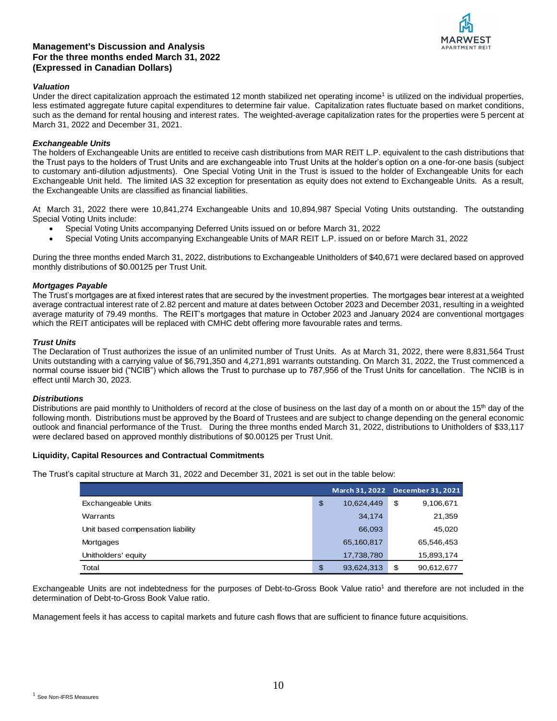# APARTMENT REIT

# **Management's Discussion and Analysis For the three months ended March 31, 2022 (Expressed in Canadian Dollars)**

## *Valuation*

Under the direct capitalization approach the estimated 12 month stabilized net operating income<sup>1</sup> is utilized on the individual properties, less estimated aggregate future capital expenditures to determine fair value. Capitalization rates fluctuate based on market conditions, such as the demand for rental housing and interest rates. The weighted-average capitalization rates for the properties were 5 percent at March 31, 2022 and December 31, 2021.

# *Exchangeable Units*

The holders of Exchangeable Units are entitled to receive cash distributions from MAR REIT L.P. equivalent to the cash distributions that the Trust pays to the holders of Trust Units and are exchangeable into Trust Units at the holder's option on a one-for-one basis (subject to customary anti-dilution adjustments). One Special Voting Unit in the Trust is issued to the holder of Exchangeable Units for each Exchangeable Unit held. The limited IAS 32 exception for presentation as equity does not extend to Exchangeable Units. As a result, the Exchangeable Units are classified as financial liabilities.

At March 31, 2022 there were 10,841,274 Exchangeable Units and 10,894,987 Special Voting Units outstanding. The outstanding Special Voting Units include:

- Special Voting Units accompanying Deferred Units issued on or before March 31, 2022
- Special Voting Units accompanying Exchangeable Units of MAR REIT L.P. issued on or before March 31, 2022

During the three months ended March 31, 2022, distributions to Exchangeable Unitholders of \$40,671 were declared based on approved monthly distributions of \$0.00125 per Trust Unit.

# *Mortgages Payable*

The Trust's mortgages are at fixed interest rates that are secured by the investment properties. The mortgages bear interest at a weighted average contractual interest rate of 2.82 percent and mature at dates between October 2023 and December 2031, resulting in a weighted average maturity of 79.49 months. The REIT's mortgages that mature in October 2023 and January 2024 are conventional mortgages which the REIT anticipates will be replaced with CMHC debt offering more favourable rates and terms.

# *Trust Units*

The Declaration of Trust authorizes the issue of an unlimited number of Trust Units. As at March 31, 2022, there were 8,831,564 Trust Units outstanding with a carrying value of \$6,791,350 and 4,271,891 warrants outstanding. On March 31, 2022, the Trust commenced a normal course issuer bid ("NCIB") which allows the Trust to purchase up to 787,956 of the Trust Units for cancellation. The NCIB is in effect until March 30, 2023.

## *Distributions*

Distributions are paid monthly to Unitholders of record at the close of business on the last day of a month on or about the 15<sup>th</sup> day of the following month. Distributions must be approved by the Board of Trustees and are subject to change depending on the general economic outlook and financial performance of the Trust. During the three months ended March 31, 2022, distributions to Unitholders of \$33,117 were declared based on approved monthly distributions of \$0.00125 per Trust Unit.

## **Liquidity, Capital Resources and Contractual Commitments**

The Trust's capital structure at March 31, 2022 and December 31, 2021 is set out in the table below:

|                                   |                  | March 31, 2022 December 31, 2021 |
|-----------------------------------|------------------|----------------------------------|
| <b>Exchangeable Units</b>         | \$<br>10,624,449 | \$<br>9,106,671                  |
| Warrants                          | 34.174           | 21,359                           |
| Unit based compensation liability | 66,093           | 45,020                           |
| Mortgages                         | 65,160,817       | 65,546,453                       |
| Unitholders' equity               | 17,738,780       | 15,893,174                       |
| Total                             | \$<br>93,624,313 | \$<br>90,612,677                 |

Exchangeable Units are not indebtedness for the purposes of Debt-to-Gross Book Value ratio<sup>1</sup> and therefore are not included in the determination of Debt-to-Gross Book Value ratio.

Management feels it has access to capital markets and future cash flows that are sufficient to finance future acquisitions.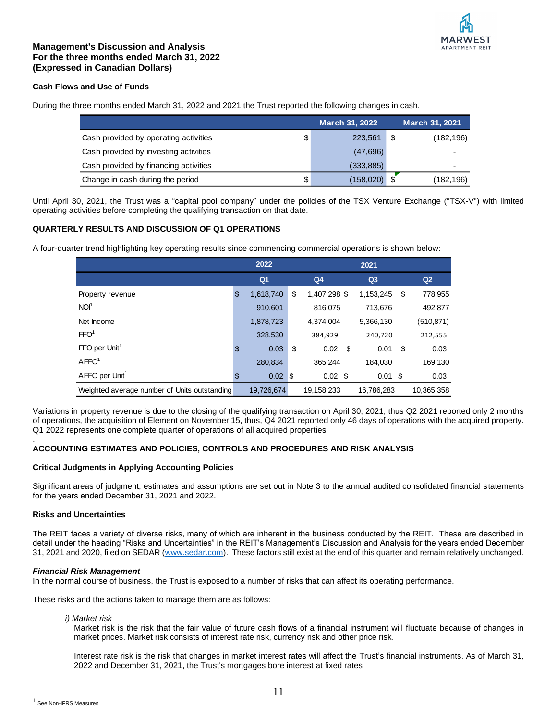

## **Cash Flows and Use of Funds**

During the three months ended March 31, 2022 and 2021 the Trust reported the following changes in cash.

|                                       | <b>March 31, 2022</b> | <b>March 31, 2021</b> |
|---------------------------------------|-----------------------|-----------------------|
| Cash provided by operating activities | \$<br>223,561         | \$<br>(182, 196)      |
| Cash provided by investing activities | (47,696)              |                       |
| Cash provided by financing activities | (333, 885)            |                       |
| Change in cash during the period      | \$<br>(158,020)       | (182,196)             |

Until April 30, 2021, the Trust was a "capital pool company" under the policies of the TSX Venture Exchange ("TSX-V") with limited operating activities before completing the qualifying transaction on that date.

## **QUARTERLY RESULTS AND DISCUSSION OF Q1 OPERATIONS**

A four-quarter trend highlighting key operating results since commencing commercial operations is shown below:

|                                              | 2022                     |                    |                   |     |            |
|----------------------------------------------|--------------------------|--------------------|-------------------|-----|------------|
|                                              | Q <sub>1</sub>           | Q <sub>4</sub>     | Q <sub>3</sub>    |     | Q2         |
| Property revenue                             | \$<br>1,618,740          | \$<br>1,407,298 \$ | 1,153,245         | -S  | 778,955    |
| NOI <sup>1</sup>                             | 910,601                  | 816,075            | 713,676           |     | 492,877    |
| Net Income                                   | 1,878,723                | 4.374.004          | 5,366,130         |     | (510, 871) |
| FFO <sup>1</sup>                             | 328,530                  | 384.929            | 240,720           |     | 212,555    |
| $FFO$ per Unit <sup>1</sup>                  | \$<br>0.03               | \$<br>- \$<br>0.02 | 0.01              | -\$ | 0.03       |
| AFFO <sup>1</sup>                            | 280,834                  | 365,244            | 184,030           |     | 169,130    |
| AFFO per Unit <sup>1</sup>                   | \$<br>$0.02 \; \text{S}$ | $0.02 \text{ } $$  | $0.01 \text{ } $$ |     | 0.03       |
| Weighted average number of Units outstanding | 19,726,674               | 19.158.233         | 16.786.283        |     | 10,365,358 |

Variations in property revenue is due to the closing of the qualifying transaction on April 30, 2021, thus Q2 2021 reported only 2 months of operations, the acquisition of Element on November 15, thus, Q4 2021 reported only 46 days of operations with the acquired property. Q1 2022 represents one complete quarter of operations of all acquired properties

#### . **ACCOUNTING ESTIMATES AND POLICIES, CONTROLS AND PROCEDURES AND RISK ANALYSIS**

## **Critical Judgments in Applying Accounting Policies**

Significant areas of judgment, estimates and assumptions are set out in Note 3 to the annual audited consolidated financial statements for the years ended December 31, 2021 and 2022.

## **Risks and Uncertainties**

The REIT faces a variety of diverse risks, many of which are inherent in the business conducted by the REIT. These are described in detail under the heading "Risks and Uncertainties" in the REIT's Management's Discussion and Analysis for the years ended December 31, 2021 and 2020, filed on SEDAR [\(www.sedar.com\)](http://www.sedar.com/). These factors still exist at the end of this quarter and remain relatively unchanged.

#### *Financial Risk Management*

In the normal course of business, the Trust is exposed to a number of risks that can affect its operating performance.

These risks and the actions taken to manage them are as follows:

#### *i) Market risk*

Market risk is the risk that the fair value of future cash flows of a financial instrument will fluctuate because of changes in market prices. Market risk consists of interest rate risk, currency risk and other price risk.

Interest rate risk is the risk that changes in market interest rates will affect the Trust's financial instruments. As of March 31, 2022 and December 31, 2021, the Trust's mortgages bore interest at fixed rates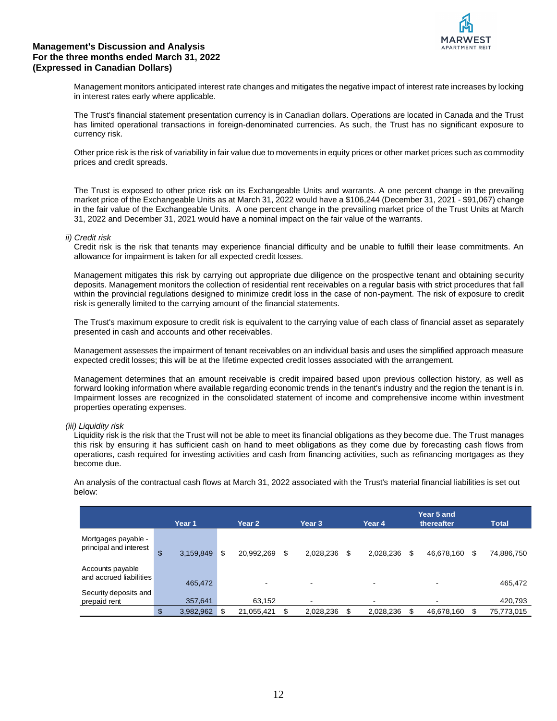

Management monitors anticipated interest rate changes and mitigates the negative impact of interest rate increases by locking in interest rates early where applicable.

The Trust's financial statement presentation currency is in Canadian dollars. Operations are located in Canada and the Trust has limited operational transactions in foreign-denominated currencies. As such, the Trust has no significant exposure to currency risk.

Other price risk is the risk of variability in fair value due to movements in equity prices or other market prices such as commodity prices and credit spreads.

The Trust is exposed to other price risk on its Exchangeable Units and warrants. A one percent change in the prevailing market price of the Exchangeable Units as at March 31, 2022 would have a \$106,244 (December 31, 2021 - \$91,067) change in the fair value of the Exchangeable Units. A one percent change in the prevailing market price of the Trust Units at March 31, 2022 and December 31, 2021 would have a nominal impact on the fair value of the warrants.

#### *ii) Credit risk*

Credit risk is the risk that tenants may experience financial difficulty and be unable to fulfill their lease commitments. An allowance for impairment is taken for all expected credit losses.

Management mitigates this risk by carrying out appropriate due diligence on the prospective tenant and obtaining security deposits. Management monitors the collection of residential rent receivables on a regular basis with strict procedures that fall within the provincial regulations designed to minimize credit loss in the case of non-payment. The risk of exposure to credit risk is generally limited to the carrying amount of the financial statements.

The Trust's maximum exposure to credit risk is equivalent to the carrying value of each class of financial asset as separately presented in cash and accounts and other receivables.

Management assesses the impairment of tenant receivables on an individual basis and uses the simplified approach measure expected credit losses; this will be at the lifetime expected credit losses associated with the arrangement.

Management determines that an amount receivable is credit impaired based upon previous collection history, as well as forward looking information where available regarding economic trends in the tenant's industry and the region the tenant is in. Impairment losses are recognized in the consolidated statement of income and comprehensive income within investment properties operating expenses.

## *(iii) Liquidity risk*

Liquidity risk is the risk that the Trust will not be able to meet its financial obligations as they become due. The Trust manages this risk by ensuring it has sufficient cash on hand to meet obligations as they come due by forecasting cash flows from operations, cash required for investing activities and cash from financing activities, such as refinancing mortgages as they become due.

An analysis of the contractual cash flows at March 31, 2022 associated with the Trust's material financial liabilities is set out below:

|                                               | Year 1          | Year 2           | Year 3          | Year 4          |   | Year 5 and<br>thereafter | <b>Total</b>     |
|-----------------------------------------------|-----------------|------------------|-----------------|-----------------|---|--------------------------|------------------|
| Mortgages payable -<br>principal and interest | \$<br>3,159,849 | \$<br>20,992,269 | \$<br>2,028,236 | \$<br>2,028,236 | S | 46,678,160               | \$<br>74,886,750 |
| Accounts payable<br>and accrued liabilities   | 465,472         | -                | ۰               | ۰               |   | $\overline{\phantom{a}}$ | 465,472          |
| Security deposits and<br>prepaid rent         | 357,641         | 63,152           | ۰               | ۰               |   | $\overline{\phantom{0}}$ | 420,793          |
|                                               | \$<br>3,982,962 | 21,055,421       | 2,028,236       | 2,028,236       |   | 46,678,160               | 75,773,015       |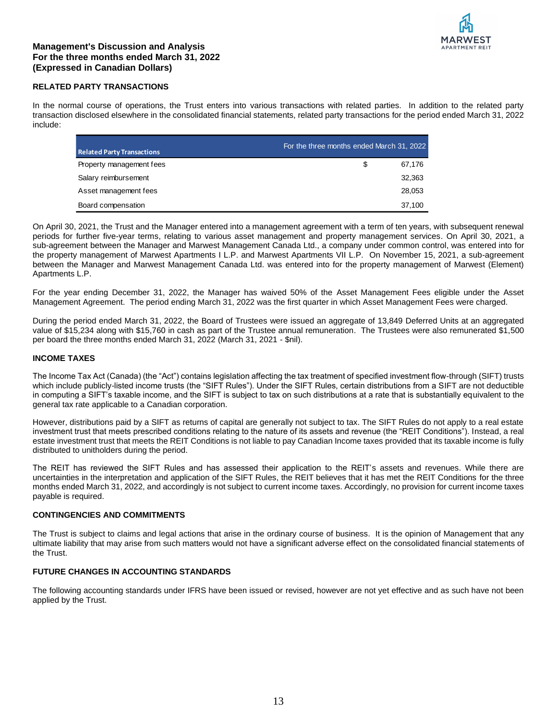

# **RELATED PARTY TRANSACTIONS**

In the normal course of operations, the Trust enters into various transactions with related parties. In addition to the related party transaction disclosed elsewhere in the consolidated financial statements, related party transactions for the period ended March 31, 2022 include:

| <b>Related Party Transactions</b> | For the three months ended March 31, 2022 |        |
|-----------------------------------|-------------------------------------------|--------|
| Property management fees          | S                                         | 67.176 |
| Salary reimbursement              |                                           | 32.363 |
| Asset management fees             |                                           | 28,053 |
| Board compensation                |                                           | 37.100 |

On April 30, 2021, the Trust and the Manager entered into a management agreement with a term of ten years, with subsequent renewal periods for further five-year terms, relating to various asset management and property management services. On April 30, 2021, a sub-agreement between the Manager and Marwest Management Canada Ltd., a company under common control, was entered into for the property management of Marwest Apartments I L.P. and Marwest Apartments VII L.P. On November 15, 2021, a sub-agreement between the Manager and Marwest Management Canada Ltd. was entered into for the property management of Marwest (Element) Apartments L.P.

For the year ending December 31, 2022, the Manager has waived 50% of the Asset Management Fees eligible under the Asset Management Agreement. The period ending March 31, 2022 was the first quarter in which Asset Management Fees were charged.

During the period ended March 31, 2022, the Board of Trustees were issued an aggregate of 13,849 Deferred Units at an aggregated value of \$15,234 along with \$15,760 in cash as part of the Trustee annual remuneration. The Trustees were also remunerated \$1,500 per board the three months ended March 31, 2022 (March 31, 2021 - \$nil).

## **INCOME TAXES**

The Income Tax Act (Canada) (the "Act") contains legislation affecting the tax treatment of specified investment flow-through (SIFT) trusts which include publicly-listed income trusts (the "SIFT Rules"). Under the SIFT Rules, certain distributions from a SIFT are not deductible in computing a SIFT's taxable income, and the SIFT is subject to tax on such distributions at a rate that is substantially equivalent to the general tax rate applicable to a Canadian corporation.

However, distributions paid by a SIFT as returns of capital are generally not subject to tax. The SIFT Rules do not apply to a real estate investment trust that meets prescribed conditions relating to the nature of its assets and revenue (the "REIT Conditions"). Instead, a real estate investment trust that meets the REIT Conditions is not liable to pay Canadian Income taxes provided that its taxable income is fully distributed to unitholders during the period.

The REIT has reviewed the SIFT Rules and has assessed their application to the REIT's assets and revenues. While there are uncertainties in the interpretation and application of the SIFT Rules, the REIT believes that it has met the REIT Conditions for the three months ended March 31, 2022, and accordingly is not subject to current income taxes. Accordingly, no provision for current income taxes payable is required.

## **CONTINGENCIES AND COMMITMENTS**

The Trust is subject to claims and legal actions that arise in the ordinary course of business. It is the opinion of Management that any ultimate liability that may arise from such matters would not have a significant adverse effect on the consolidated financial statements of the Trust.

## **FUTURE CHANGES IN ACCOUNTING STANDARDS**

The following accounting standards under IFRS have been issued or revised, however are not yet effective and as such have not been applied by the Trust.